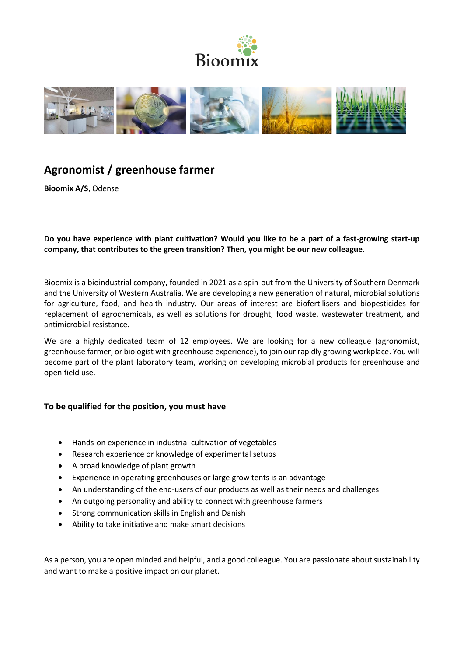



# **Agronomist / greenhouse farmer**

**Bioomix A/S**, Odense

**Do you have experience with plant cultivation? Would you like to be a part of a fast-growing start-up company, that contributes to the green transition? Then, you might be our new colleague.** 

Bioomix is a bioindustrial company, founded in 2021 as a spin-out from the University of Southern Denmark and the University of Western Australia. We are developing a new generation of natural, microbial solutions for agriculture, food, and health industry. Our areas of interest are biofertilisers and biopesticides for replacement of agrochemicals, as well as solutions for drought, food waste, wastewater treatment, and antimicrobial resistance.

We are a highly dedicated team of 12 employees. We are looking for a new colleague (agronomist, greenhouse farmer, or biologist with greenhouse experience), to join our rapidly growing workplace. You will become part of the plant laboratory team, working on developing microbial products for greenhouse and open field use.

## **To be qualified for the position, you must have**

- Hands-on experience in industrial cultivation of vegetables
- Research experience or knowledge of experimental setups
- A broad knowledge of plant growth
- Experience in operating greenhouses or large grow tents is an advantage
- An understanding of the end-users of our products as well as their needs and challenges
- An outgoing personality and ability to connect with greenhouse farmers
- Strong communication skills in English and Danish
- Ability to take initiative and make smart decisions

As a person, you are open minded and helpful, and a good colleague. You are passionate about sustainability and want to make a positive impact on our planet.